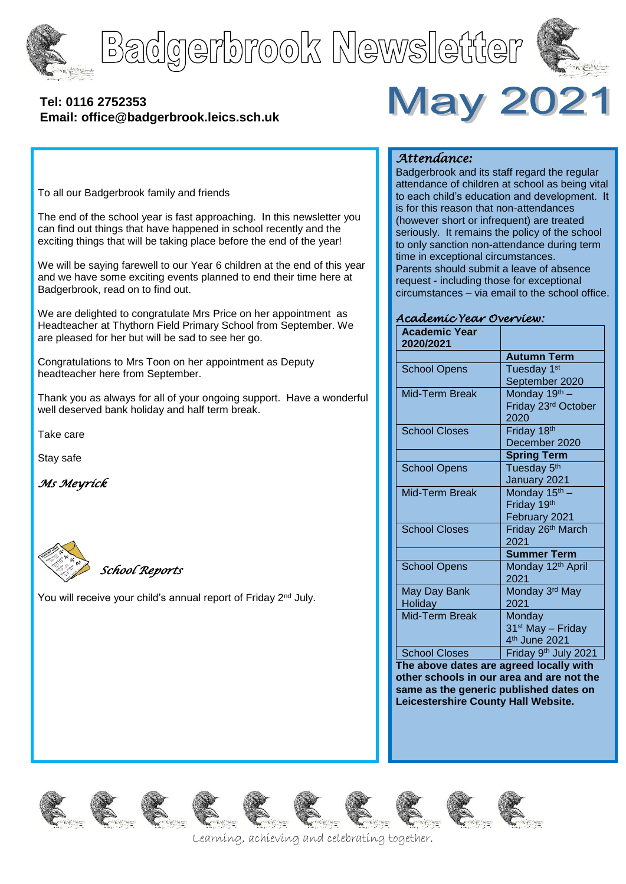





# **[Tel: 0116](tel:0116) 2752353 Email: office@badgerbrook.leics.sch.uk**



To all our Badgerbrook family and friends

The end of the school year is fast approaching. In this newsletter you can find out things that have happened in school recently and the exciting things that will be taking place before the end of the year!

We will be saying farewell to our Year 6 children at the end of this year and we have some exciting events planned to end their time here at Badgerbrook, read on to find out.

We are delighted to congratulate Mrs Price on her appointment as Headteacher at Thythorn Field Primary School from September. We are pleased for her but will be sad to see her go.

Congratulations to Mrs Toon on her appointment as Deputy headteacher here from September.

Thank you as always for all of your ongoing support. Have a wonderful well deserved bank holiday and half term break.

Take care

Stay safe

*Ms Meyrick* 



*School Reports* 

You will receive your child's annual report of Friday 2<sup>nd</sup> July.

### *Attendance:*

Badgerbrook and its staff regard the regular attendance of children at school as being vital to each child's education and development. It is for this reason that non-attendances (however short or infrequent) are treated seriously. It remains the policy of the school to only sanction non-attendance during term time in exceptional circumstances. Parents should submit a leave of absence request - including those for exceptional circumstances – via email to the school office.

#### *Academic Year Overview:*

| <b>Academic Year</b><br>2020/2021 |                               |
|-----------------------------------|-------------------------------|
|                                   | <b>Autumn Term</b>            |
| <b>School Opens</b>               | Tuesday 1st                   |
|                                   | September 2020                |
| <b>Mid-Term Break</b>             | Monday 19th -                 |
|                                   | Friday 23rd October           |
|                                   | 2020                          |
| <b>School Closes</b>              | Friday 18th                   |
|                                   | December 2020                 |
|                                   | <b>Spring Term</b>            |
| <b>School Opens</b>               | Tuesday 5 <sup>th</sup>       |
|                                   | January 2021                  |
| Mid-Term Break                    | Monday 15th -                 |
|                                   | Friday 19th                   |
|                                   | February 2021                 |
| <b>School Closes</b>              | Friday 26th March             |
|                                   | 2021                          |
|                                   | <b>Summer Term</b>            |
| <b>School Opens</b>               | Monday 12 <sup>th</sup> April |
|                                   | 2021                          |
| May Day Bank                      | Monday 3rd May                |
| Holiday                           | 2021                          |
| Mid-Term Break                    | Monday                        |
|                                   | 31 <sup>st</sup> May - Friday |
|                                   | 4th June 2021                 |
| School Closes                     | $Finday$ $Qth$ $Iuhy$ $2021$  |

 $\blacksquare$  Friday **The above dates are agreed locally with other schools in our area and are not the same as the generic published dates on Leicestershire County Hall Website.**

















Learning, achieving and celebrating together.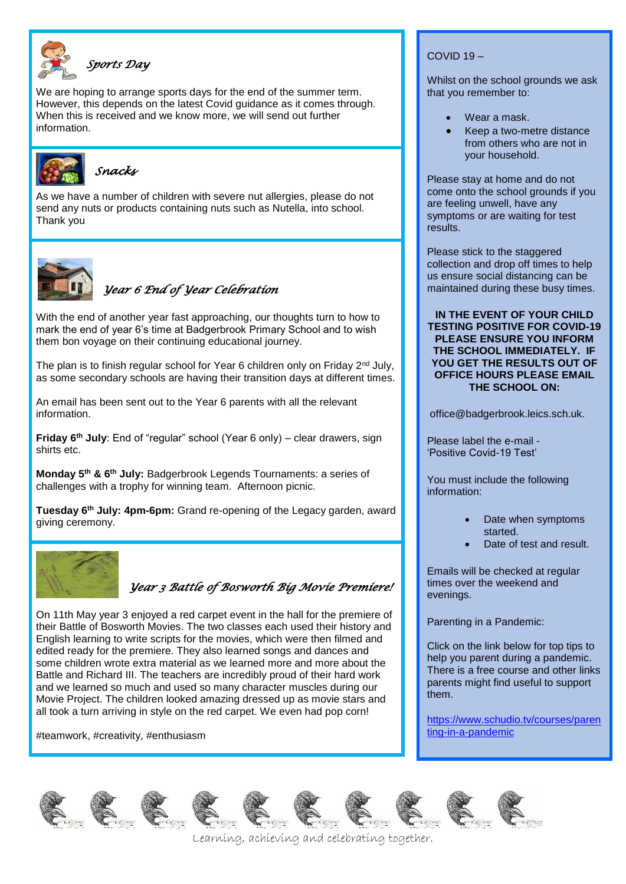

### *Sports Day*

We are hoping to arrange sports days for the end of the summer term. However, this depends on the latest Covid guidance as it comes through. When this is received and we know more, we will send out further information.



*Snacks*

As we have a number of children with severe nut allergies, please do not send any nuts or products containing nuts such as Nutella, into school. Thank you



*Year 6 End of Year Celebration* 

With the end of another year fast approaching, our thoughts turn to how to mark the end of year 6's time at Badgerbrook Primary School and to wish them bon voyage on their continuing educational journey.

The plan is to finish regular school for Year 6 children only on Friday  $2<sup>nd</sup>$  July, as some secondary schools are having their transition days at different times.

An email has been sent out to the Year 6 parents with all the relevant information.

**Friday 6th July**: End of "regular" school (Year 6 only) – clear drawers, sign shirts etc.

**Monday 5th & 6th July:** Badgerbrook Legends Tournaments: a series of challenges with a trophy for winning team. Afternoon picnic.

**Tuesday 6th July: 4pm-6pm:** Grand re-opening of the Legacy garden, award giving ceremony.



# *Year 3 Battle of Bosworth Big Movie Premiere!*

On 11th May year 3 enjoyed a red carpet event in the hall for the premiere of their Battle of Bosworth Movies. The two classes each used their history and English learning to write scripts for the movies, which were then filmed and edited ready for the premiere. They also learned songs and dances and some children wrote extra material as we learned more and more about the Battle and Richard III. The teachers are incredibly proud of their hard work and we learned so much and used so many character muscles during our Movie Project. The children looked amazing dressed up as movie stars and all took a turn arriving in style on the red carpet. We even had pop corn!

#teamwork, #creativity, #enthusiasm

### COVID 19 –

Whilst on the school grounds we ask that you remember to:

- Wear a mask.
- Keep a two-metre distance from others who are not in your household.

Please stay at home and do not come onto the school grounds if you are feeling unwell, have any symptoms or are waiting for test results.

Please stick to the staggered collection and drop off times to help us ensure social distancing can be maintained during these busy times.

**IN THE EVENT OF YOUR CHILD TESTING POSITIVE FOR COVID-19 PLEASE ENSURE YOU INFORM THE SCHOOL IMMEDIATELY. IF YOU GET THE RESULTS OUT OF OFFICE HOURS PLEASE EMAIL THE SCHOOL ON:**

office@badgerbrook.leics.sch.uk.

Please label the e-mail - 'Positive Covid-19 Test'

You must include the following information:

- Date when symptoms started.
- Date of test and result.

Emails will be checked at regular times over the weekend and evenings.

Parenting in a Pandemic:

Click on the link below for top tips to help you parent during a pandemic. There is a free course and other links parents might find useful to support them.

[https://www.schudio.tv/courses/paren](https://www.schudio.tv/courses/parenting-in-a-pandemic) [ting-in-a-pandemic](https://www.schudio.tv/courses/parenting-in-a-pandemic)













Learning, achieving and celebrating together.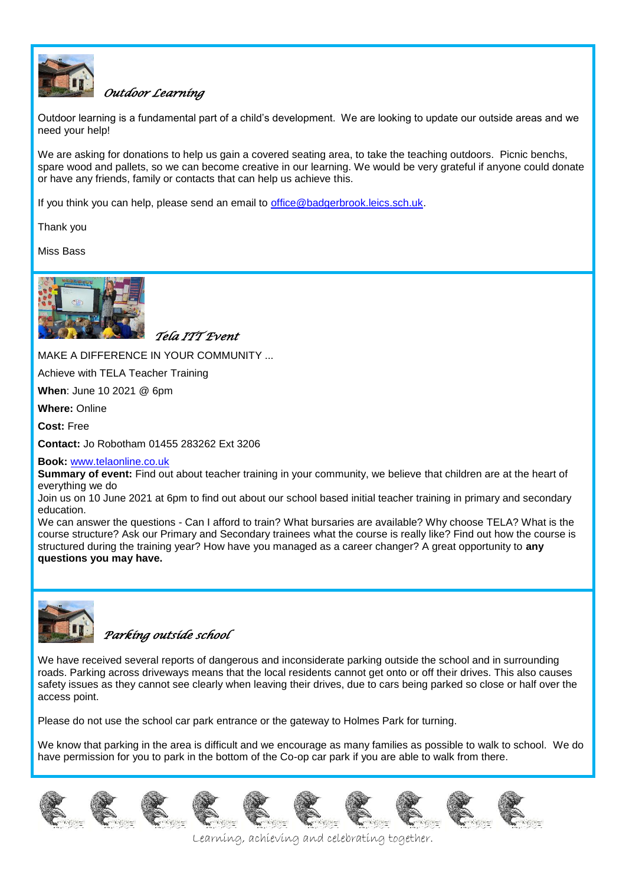

### *Outdoor Learning*

Outdoor learning is a fundamental part of a child's development. We are looking to update our outside areas and we need your help!

We are asking for donations to help us gain a covered seating area, to take the teaching outdoors. Picnic benchs, spare wood and pallets, so we can become creative in our learning. We would be very grateful if anyone could donate or have any friends, family or contacts that can help us achieve this.

If you think you can help, please send an email to [office@badgerbrook.leics.sch.uk.](mailto:office@badgerbrook.leics.sch.uk)

Thank you

Miss Bass



*Tela ITT Event* 

MAKE A DIFFERENCE IN YOUR COMMUNITY ...

Achieve with TELA Teacher Training

**When**: June 10 2021 @ 6pm

**Where:** Online

**Cost:** Free

**Contact:** Jo Robotham 01455 283262 Ext 3206

#### **Book:** [www.telaonline.co.uk](http://www.telaonline.co.uk/)

**Summary of event:** Find out about teacher training in your community, we believe that children are at the heart of everything we do

Join us on 10 June 2021 at 6pm to find out about our school based initial teacher training in primary and secondary education.

We can answer the questions - Can I afford to train? What bursaries are available? Why choose TELA? What is the course structure? Ask our Primary and Secondary trainees what the course is really like? Find out how the course is structured during the training year? How have you managed as a career changer? A great opportunity to **any questions you may have.**



*Parking outside school* 

We have received several reports of dangerous and inconsiderate parking outside the school and in surrounding roads. Parking across driveways means that the local residents cannot get onto or off their drives. This also causes safety issues as they cannot see clearly when leaving their drives, due to cars being parked so close or half over the access point.

Please do not use the school car park entrance or the gateway to Holmes Park for turning.

We know that parking in the area is difficult and we encourage as many families as possible to walk to school. We do have permission for you to park in the bottom of the Co-op car park if you are able to walk from there.